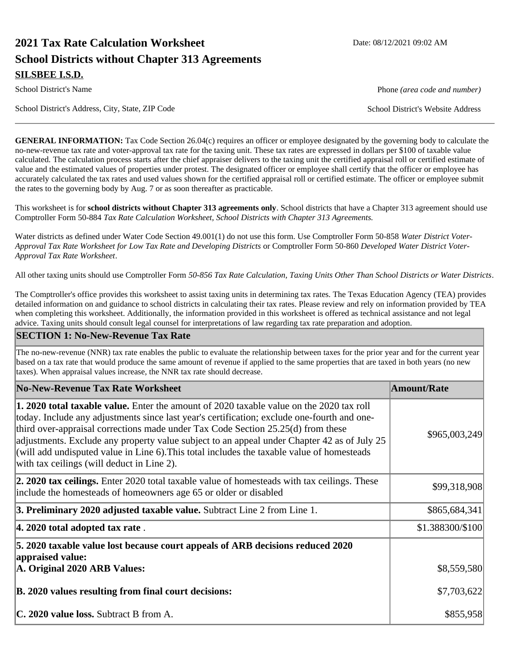# **2021 Tax Rate Calculation Worksheet Date: 08/12/2021 09:02 AM School Districts without Chapter 313 Agreements SILSBEE I.S.D.**

School District's Address, City, State, ZIP Code School District's Website Address

**GENERAL INFORMATION:** Tax Code Section 26.04(c) requires an officer or employee designated by the governing body to calculate the no-new-revenue tax rate and voter-approval tax rate for the taxing unit. These tax rates are expressed in dollars per \$100 of taxable value calculated. The calculation process starts after the chief appraiser delivers to the taxing unit the certified appraisal roll or certified estimate of value and the estimated values of properties under protest. The designated officer or employee shall certify that the officer or employee has accurately calculated the tax rates and used values shown for the certified appraisal roll or certified estimate. The officer or employee submit the rates to the governing body by Aug. 7 or as soon thereafter as practicable.

This worksheet is for **school districts without Chapter 313 agreements only**. School districts that have a Chapter 313 agreement should use Comptroller Form 50-884 *Tax Rate Calculation Worksheet, School Districts with Chapter 313 Agreements.*

Water districts as defined under Water Code Section 49.001(1) do not use this form. Use Comptroller Form 50-858 *Water District Voter-Approval Tax Rate Worksheet for Low Tax Rate and Developing Districts* or Comptroller Form 50-860 *Developed Water District Voter-Approval Tax Rate Worksheet*.

All other taxing units should use Comptroller Form *50-856 Tax Rate Calculation, Taxing Units Other Than School Districts or Water Districts*.

The Comptroller's office provides this worksheet to assist taxing units in determining tax rates. The Texas Education Agency (TEA) provides detailed information on and guidance to school districts in calculating their tax rates. Please review and rely on information provided by TEA when completing this worksheet. Additionally, the information provided in this worksheet is offered as technical assistance and not legal advice. Taxing units should consult legal counsel for interpretations of law regarding tax rate preparation and adoption.

#### **SECTION 1: No-New-Revenue Tax Rate**

The no-new-revenue (NNR) tax rate enables the public to evaluate the relationship between taxes for the prior year and for the current year based on a tax rate that would produce the same amount of revenue if applied to the same properties that are taxed in both years (no new taxes). When appraisal values increase, the NNR tax rate should decrease.

| No-New-Revenue Tax Rate Worksheet                                                                                                                                                                                                                                                                                                                                                                                                                                                                                            | <b>Amount/Rate</b> |
|------------------------------------------------------------------------------------------------------------------------------------------------------------------------------------------------------------------------------------------------------------------------------------------------------------------------------------------------------------------------------------------------------------------------------------------------------------------------------------------------------------------------------|--------------------|
| 1. 2020 total taxable value. Enter the amount of 2020 taxable value on the 2020 tax roll<br>today. Include any adjustments since last year's certification; exclude one-fourth and one-<br>third over-appraisal corrections made under Tax Code Section $25.25(d)$ from these<br>adjustments. Exclude any property value subject to an appeal under Chapter 42 as of July 25<br>$ $ (will add undisputed value in Line 6). This total includes the taxable value of homesteads<br>with tax ceilings (will deduct in Line 2). | \$965,003,249      |
| <b>2. 2020 tax ceilings.</b> Enter 2020 total taxable value of homesteads with tax ceilings. These<br>include the homesteads of homeowners age 65 or older or disabled                                                                                                                                                                                                                                                                                                                                                       | \$99,318,908       |
| 3. Preliminary 2020 adjusted taxable value. Subtract Line 2 from Line 1.                                                                                                                                                                                                                                                                                                                                                                                                                                                     | \$865,684,341      |
| $ 4.2020$ total adopted tax rate.                                                                                                                                                                                                                                                                                                                                                                                                                                                                                            | \$1.388300/\$100   |
| 5. 2020 taxable value lost because court appeals of ARB decisions reduced 2020<br>appraised value:<br>A. Original 2020 ARB Values:                                                                                                                                                                                                                                                                                                                                                                                           | \$8,559,580        |
| B. 2020 values resulting from final court decisions:                                                                                                                                                                                                                                                                                                                                                                                                                                                                         | \$7,703,622        |
| C. 2020 value loss. Subtract B from A.                                                                                                                                                                                                                                                                                                                                                                                                                                                                                       | \$855,958          |

School District's Name **Phone** *(area code and number)* Phone *(area code and number)*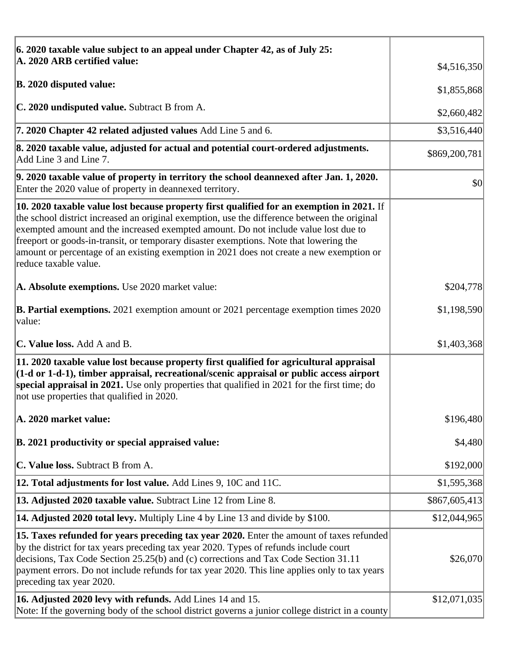| 6. 2020 taxable value subject to an appeal under Chapter 42, as of July 25:                                                                                                                                                                                                                                                                                                                                                                                                                     |               |
|-------------------------------------------------------------------------------------------------------------------------------------------------------------------------------------------------------------------------------------------------------------------------------------------------------------------------------------------------------------------------------------------------------------------------------------------------------------------------------------------------|---------------|
| A. 2020 ARB certified value:                                                                                                                                                                                                                                                                                                                                                                                                                                                                    | \$4,516,350   |
| <b>B. 2020 disputed value:</b>                                                                                                                                                                                                                                                                                                                                                                                                                                                                  | \$1,855,868   |
| C. 2020 undisputed value. Subtract B from A.                                                                                                                                                                                                                                                                                                                                                                                                                                                    | \$2,660,482   |
| 7. 2020 Chapter 42 related adjusted values Add Line 5 and 6.                                                                                                                                                                                                                                                                                                                                                                                                                                    | \$3,516,440   |
| 8. 2020 taxable value, adjusted for actual and potential court-ordered adjustments.<br>Add Line 3 and Line 7.                                                                                                                                                                                                                                                                                                                                                                                   | \$869,200,781 |
| 9. 2020 taxable value of property in territory the school deannexed after Jan. 1, 2020.<br>Enter the 2020 value of property in deannexed territory.                                                                                                                                                                                                                                                                                                                                             | \$0           |
| 10. 2020 taxable value lost because property first qualified for an exemption in 2021. If<br>the school district increased an original exemption, use the difference between the original<br>exempted amount and the increased exempted amount. Do not include value lost due to<br>freeport or goods-in-transit, or temporary disaster exemptions. Note that lowering the<br>amount or percentage of an existing exemption in 2021 does not create a new exemption or<br>reduce taxable value. |               |
| A. Absolute exemptions. Use 2020 market value:                                                                                                                                                                                                                                                                                                                                                                                                                                                  | \$204,778     |
| <b>B. Partial exemptions.</b> 2021 exemption amount or 2021 percentage exemption times 2020<br>value:                                                                                                                                                                                                                                                                                                                                                                                           | \$1,198,590   |
| <b>C. Value loss.</b> Add A and B.                                                                                                                                                                                                                                                                                                                                                                                                                                                              | \$1,403,368   |
| 11. 2020 taxable value lost because property first qualified for agricultural appraisal<br>$(1-d \text{ or } 1-d-1)$ , timber appraisal, recreational/scenic appraisal or public access airport<br>special appraisal in 2021. Use only properties that qualified in 2021 for the first time; do<br>not use properties that qualified in 2020.                                                                                                                                                   |               |
| A. 2020 market value:                                                                                                                                                                                                                                                                                                                                                                                                                                                                           | \$196,480     |
| B. 2021 productivity or special appraised value:                                                                                                                                                                                                                                                                                                                                                                                                                                                | \$4,480       |
| C. Value loss. Subtract B from A.                                                                                                                                                                                                                                                                                                                                                                                                                                                               | \$192,000     |
| 12. Total adjustments for lost value. Add Lines 9, 10C and 11C.                                                                                                                                                                                                                                                                                                                                                                                                                                 | \$1,595,368   |
| 13. Adjusted 2020 taxable value. Subtract Line 12 from Line 8.                                                                                                                                                                                                                                                                                                                                                                                                                                  | \$867,605,413 |
| <b>14. Adjusted 2020 total levy.</b> Multiply Line 4 by Line 13 and divide by \$100.                                                                                                                                                                                                                                                                                                                                                                                                            | \$12,044,965  |
| [15. Taxes refunded for years preceding tax year 2020. Enter the amount of taxes refunded<br>by the district for tax years preceding tax year 2020. Types of refunds include court<br>decisions, Tax Code Section 25.25(b) and (c) corrections and Tax Code Section 31.11<br>payment errors. Do not include refunds for tax year 2020. This line applies only to tax years<br>preceding tax year 2020.                                                                                          | \$26,070      |
| 16. Adjusted 2020 levy with refunds. Add Lines 14 and 15.<br>Note: If the governing body of the school district governs a junior college district in a county                                                                                                                                                                                                                                                                                                                                   | \$12,071,035  |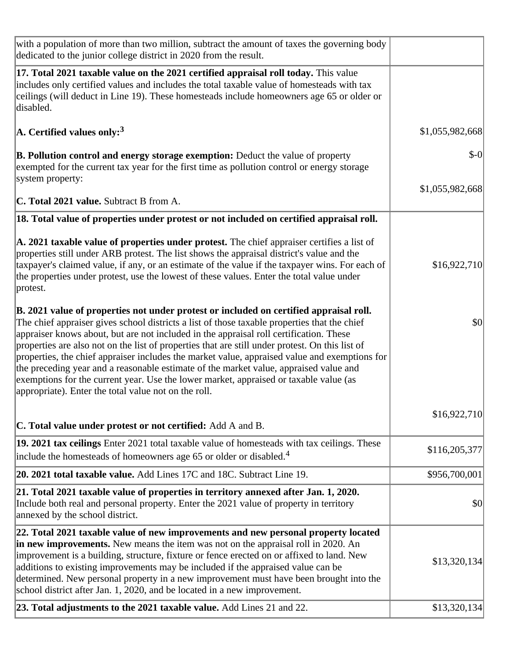| with a population of more than two million, subtract the amount of taxes the governing body<br>dedicated to the junior college district in 2020 from the result.                                                                                                                                                                                                                                                                                                                                                                                                                                                                                                                                                               |                 |
|--------------------------------------------------------------------------------------------------------------------------------------------------------------------------------------------------------------------------------------------------------------------------------------------------------------------------------------------------------------------------------------------------------------------------------------------------------------------------------------------------------------------------------------------------------------------------------------------------------------------------------------------------------------------------------------------------------------------------------|-----------------|
| 17. Total 2021 taxable value on the 2021 certified appraisal roll today. This value<br>includes only certified values and includes the total taxable value of homesteads with tax<br>ceilings (will deduct in Line 19). These homesteads include homeowners age 65 or older or<br>disabled.                                                                                                                                                                                                                                                                                                                                                                                                                                    |                 |
| $\rm{A.}$ Certified values only: $^3$                                                                                                                                                                                                                                                                                                                                                                                                                                                                                                                                                                                                                                                                                          | \$1,055,982,668 |
| <b>B. Pollution control and energy storage exemption:</b> Deduct the value of property<br>exempted for the current tax year for the first time as pollution control or energy storage<br>system property:                                                                                                                                                                                                                                                                                                                                                                                                                                                                                                                      | $$-0$           |
|                                                                                                                                                                                                                                                                                                                                                                                                                                                                                                                                                                                                                                                                                                                                | \$1,055,982,668 |
| <b>C. Total 2021 value.</b> Subtract B from A.                                                                                                                                                                                                                                                                                                                                                                                                                                                                                                                                                                                                                                                                                 |                 |
| 18. Total value of properties under protest or not included on certified appraisal roll.                                                                                                                                                                                                                                                                                                                                                                                                                                                                                                                                                                                                                                       |                 |
| A. 2021 taxable value of properties under protest. The chief appraiser certifies a list of<br>properties still under ARB protest. The list shows the appraisal district's value and the<br>taxpayer's claimed value, if any, or an estimate of the value if the taxpayer wins. For each of<br>the properties under protest, use the lowest of these values. Enter the total value under<br>protest.                                                                                                                                                                                                                                                                                                                            | \$16,922,710    |
| B. 2021 value of properties not under protest or included on certified appraisal roll.<br>The chief appraiser gives school districts a list of those taxable properties that the chief<br>appraiser knows about, but are not included in the appraisal roll certification. These<br>properties are also not on the list of properties that are still under protest. On this list of<br>properties, the chief appraiser includes the market value, appraised value and exemptions for<br>the preceding year and a reasonable estimate of the market value, appraised value and<br>exemptions for the current year. Use the lower market, appraised or taxable value (as<br>appropriate). Enter the total value not on the roll. | \$0             |
| <b>C. Total value under protest or not certified:</b> Add A and B.                                                                                                                                                                                                                                                                                                                                                                                                                                                                                                                                                                                                                                                             | \$16,922,710    |
| 19. 2021 tax ceilings Enter 2021 total taxable value of homesteads with tax ceilings. These<br>$ $ include the homesteads of homeowners age 65 or older or disabled. <sup>4</sup>                                                                                                                                                                                                                                                                                                                                                                                                                                                                                                                                              | \$116,205,377   |
| 20. 2021 total taxable value. Add Lines 17C and 18C. Subtract Line 19.                                                                                                                                                                                                                                                                                                                                                                                                                                                                                                                                                                                                                                                         | \$956,700,001   |
| 21. Total 2021 taxable value of properties in territory annexed after Jan. 1, 2020.<br>Include both real and personal property. Enter the 2021 value of property in territory<br>annexed by the school district.                                                                                                                                                                                                                                                                                                                                                                                                                                                                                                               | \$0             |
| 22. Total 2021 taxable value of new improvements and new personal property located<br>in new improvements. New means the item was not on the appraisal roll in 2020. An<br>improvement is a building, structure, fixture or fence erected on or affixed to land. New<br>additions to existing improvements may be included if the appraised value can be<br>determined. New personal property in a new improvement must have been brought into the<br>school district after Jan. 1, 2020, and be located in a new improvement.                                                                                                                                                                                                 | \$13,320,134    |
| 23. Total adjustments to the 2021 taxable value. Add Lines 21 and 22.                                                                                                                                                                                                                                                                                                                                                                                                                                                                                                                                                                                                                                                          | \$13,320,134    |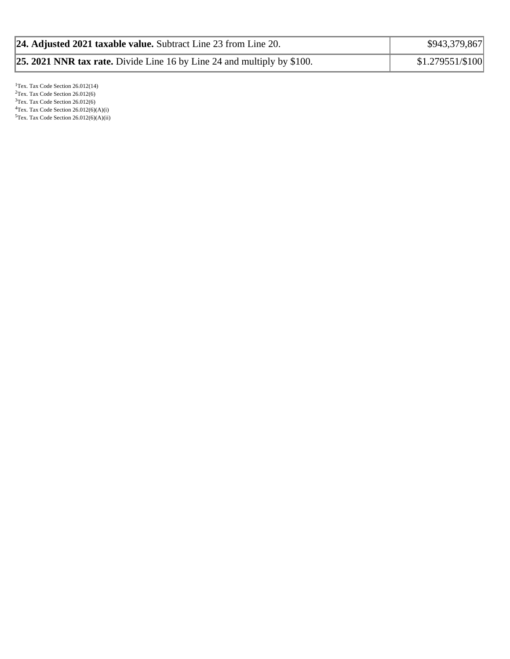| 24. Adjusted 2021 taxable value. Subtract Line 23 from Line 20.                | \$943,379,867    |
|--------------------------------------------------------------------------------|------------------|
| <b>25. 2021 NNR tax rate.</b> Divide Line 16 by Line 24 and multiply by \$100. | \$1.279551/\$100 |

<sup>1</sup>Tex. Tax Code Section 26.012(14)  $2$ Tex. Tax Code Section 26.012(6) <sup>3</sup>Tex. Tax Code Section 26.012(6)  ${}^{4}$ Tex. Tax Code Section 26.012(6)(A)(i)  $5$ Tex. Tax Code Section 26.012(6)(A)(ii)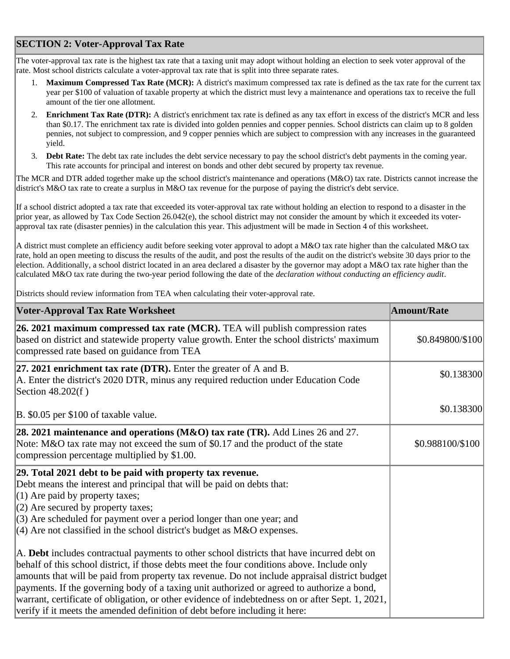## **SECTION 2: Voter-Approval Tax Rate**

The voter-approval tax rate is the highest tax rate that a taxing unit may adopt without holding an election to seek voter approval of the rate. Most school districts calculate a voter-approval tax rate that is split into three separate rates.

- 1. **Maximum Compressed Tax Rate (MCR):** A district's maximum compressed tax rate is defined as the tax rate for the current tax year per \$100 of valuation of taxable property at which the district must levy a maintenance and operations tax to receive the full amount of the tier one allotment.
- 2. **Enrichment Tax Rate (DTR):** A district's enrichment tax rate is defined as any tax effort in excess of the district's MCR and less than \$0.17. The enrichment tax rate is divided into golden pennies and copper pennies. School districts can claim up to 8 golden pennies, not subject to compression, and 9 copper pennies which are subject to compression with any increases in the guaranteed yield.
- 3. **Debt Rate:** The debt tax rate includes the debt service necessary to pay the school district's debt payments in the coming year. This rate accounts for principal and interest on bonds and other debt secured by property tax revenue.

The MCR and DTR added together make up the school district's maintenance and operations (M&O) tax rate. Districts cannot increase the district's M&O tax rate to create a surplus in M&O tax revenue for the purpose of paying the district's debt service.

If a school district adopted a tax rate that exceeded its voter-approval tax rate without holding an election to respond to a disaster in the prior year, as allowed by Tax Code Section 26.042(e), the school district may not consider the amount by which it exceeded its voterapproval tax rate (disaster pennies) in the calculation this year. This adjustment will be made in Section 4 of this worksheet.

A district must complete an efficiency audit before seeking voter approval to adopt a M&O tax rate higher than the calculated M&O tax rate, hold an open meeting to discuss the results of the audit, and post the results of the audit on the district's website 30 days prior to the election. Additionally, a school district located in an area declared a disaster by the governor may adopt a M&O tax rate higher than the calculated M&O tax rate during the two-year period following the date of the *declaration without conducting an efficiency audit*.

Districts should review information from TEA when calculating their voter-approval rate.

| <b>Voter-Approval Tax Rate Worksheet</b>                                                                                                                                                                                                                                                                                                                                                                                                                                                                                                                                    | <b>Amount/Rate</b> |
|-----------------------------------------------------------------------------------------------------------------------------------------------------------------------------------------------------------------------------------------------------------------------------------------------------------------------------------------------------------------------------------------------------------------------------------------------------------------------------------------------------------------------------------------------------------------------------|--------------------|
| 26. 2021 maximum compressed tax rate (MCR). TEA will publish compression rates<br>based on district and statewide property value growth. Enter the school districts' maximum<br>compressed rate based on guidance from TEA                                                                                                                                                                                                                                                                                                                                                  | \$0.849800/\$100   |
| 27. 2021 enrichment tax rate (DTR). Enter the greater of $A$ and $B$ .<br>A. Enter the district's 2020 DTR, minus any required reduction under Education Code<br>Section 48.202(f)                                                                                                                                                                                                                                                                                                                                                                                          | \$0.138300         |
| B. \$0.05 per \$100 of taxable value.                                                                                                                                                                                                                                                                                                                                                                                                                                                                                                                                       | \$0.138300         |
| 28. 2021 maintenance and operations (M&O) tax rate (TR). Add Lines 26 and 27.<br>Note: M&O tax rate may not exceed the sum of \$0.17 and the product of the state<br>compression percentage multiplied by \$1.00.                                                                                                                                                                                                                                                                                                                                                           | \$0.988100/\$100   |
| 29. Total 2021 debt to be paid with property tax revenue.<br>Debt means the interest and principal that will be paid on debts that:<br>$(1)$ Are paid by property taxes;<br>$(2)$ Are secured by property taxes;<br>$(3)$ Are scheduled for payment over a period longer than one year; and<br>$\vert$ (4) Are not classified in the school district's budget as M&O expenses.                                                                                                                                                                                              |                    |
| A. Debt includes contractual payments to other school districts that have incurred debt on<br>behalf of this school district, if those debts meet the four conditions above. Include only<br>amounts that will be paid from property tax revenue. Do not include appraisal district budget<br>payments. If the governing body of a taxing unit authorized or agreed to authorize a bond,<br>warrant, certificate of obligation, or other evidence of indebtedness on or after Sept. 1, 2021,<br>verify if it meets the amended definition of debt before including it here: |                    |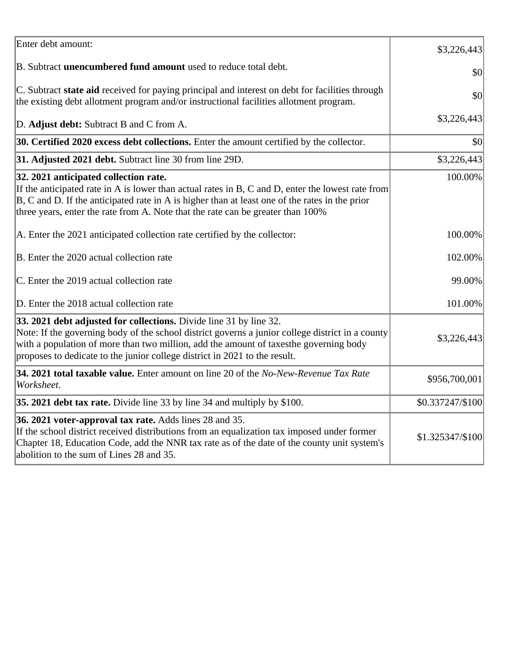| Enter debt amount:                                                                                                                                                                                                                                                                                                                            | \$3,226,443      |
|-----------------------------------------------------------------------------------------------------------------------------------------------------------------------------------------------------------------------------------------------------------------------------------------------------------------------------------------------|------------------|
| B. Subtract <b>unencumbered fund amount</b> used to reduce total debt.                                                                                                                                                                                                                                                                        | \$0              |
| C. Subtract state aid received for paying principal and interest on debt for facilities through<br>the existing debt allotment program and/or instructional facilities allotment program.                                                                                                                                                     | \$0              |
| D. Adjust debt: Subtract B and C from A.                                                                                                                                                                                                                                                                                                      | \$3,226,443      |
| 30. Certified 2020 excess debt collections. Enter the amount certified by the collector.                                                                                                                                                                                                                                                      | \$0              |
| 31. Adjusted 2021 debt. Subtract line 30 from line 29D.                                                                                                                                                                                                                                                                                       | \$3,226,443      |
| 32. 2021 anticipated collection rate.<br>If the anticipated rate in A is lower than actual rates in B, C and D, enter the lowest rate from<br>$ B, C$ and D. If the anticipated rate in A is higher than at least one of the rates in the prior<br>three years, enter the rate from A. Note that the rate can be greater than 100%            | 100.00%          |
| A. Enter the 2021 anticipated collection rate certified by the collector:                                                                                                                                                                                                                                                                     | 100.00%          |
| B. Enter the 2020 actual collection rate                                                                                                                                                                                                                                                                                                      | 102.00%          |
| C. Enter the 2019 actual collection rate                                                                                                                                                                                                                                                                                                      | 99.00%           |
| D. Enter the 2018 actual collection rate                                                                                                                                                                                                                                                                                                      | 101.00%          |
| 33. 2021 debt adjusted for collections. Divide line 31 by line 32.<br>Note: If the governing body of the school district governs a junior college district in a county<br>with a population of more than two million, add the amount of taxesthe governing body<br>proposes to dedicate to the junior college district in 2021 to the result. | \$3,226,443      |
| 34. 2021 total taxable value. Enter amount on line 20 of the No-New-Revenue Tax Rate<br>Worksheet.                                                                                                                                                                                                                                            | \$956,700,001    |
| 35. 2021 debt tax rate. Divide line 33 by line 34 and multiply by \$100.                                                                                                                                                                                                                                                                      | \$0.337247/\$100 |
| 36. 2021 voter-approval tax rate. Adds lines 28 and 35.<br>If the school district received distributions from an equalization tax imposed under former<br>Chapter 18, Education Code, add the NNR tax rate as of the date of the county unit system's<br>abolition to the sum of Lines 28 and 35.                                             | \$1.325347/\$100 |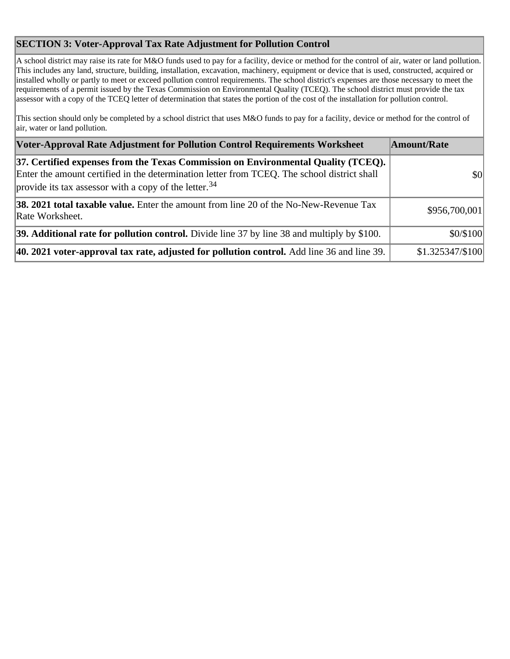## **SECTION 3: Voter-Approval Tax Rate Adjustment for Pollution Control**

A school district may raise its rate for M&O funds used to pay for a facility, device or method for the control of air, water or land pollution. This includes any land, structure, building, installation, excavation, machinery, equipment or device that is used, constructed, acquired or installed wholly or partly to meet or exceed pollution control requirements. The school district's expenses are those necessary to meet the requirements of a permit issued by the Texas Commission on Environmental Quality (TCEQ). The school district must provide the tax assessor with a copy of the TCEQ letter of determination that states the portion of the cost of the installation for pollution control.

This section should only be completed by a school district that uses M&O funds to pay for a facility, device or method for the control of air, water or land pollution.

| Voter-Approval Rate Adjustment for Pollution Control Requirements Worksheet                                                                                                                                                                           | Amount/Rate      |
|-------------------------------------------------------------------------------------------------------------------------------------------------------------------------------------------------------------------------------------------------------|------------------|
| 37. Certified expenses from the Texas Commission on Environmental Quality (TCEQ).<br>Enter the amount certified in the determination letter from TCEQ. The school district shall<br>provide its tax assessor with a copy of the letter. <sup>34</sup> | \$0              |
| <b>38. 2021 total taxable value.</b> Enter the amount from line 20 of the No-New-Revenue Tax<br>Rate Worksheet.                                                                                                                                       | \$956,700,001    |
| 39. Additional rate for pollution control. Divide line 37 by line 38 and multiply by \$100.                                                                                                                                                           | \$0/\$100        |
| $ 40.2021$ voter-approval tax rate, adjusted for pollution control. Add line 36 and line 39.                                                                                                                                                          | \$1.325347/\$100 |